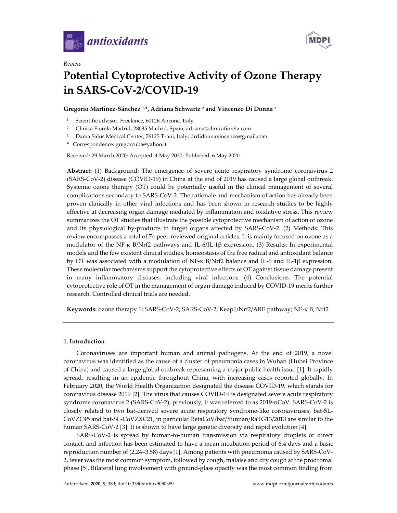

*Review*



# **Potential Cytoprotective Activity of Ozone Therapy in SARS-CoV-2/COVID-19**

# **Gregorio Martínez-Sánchez 1, \*, Adriana Schwartz <sup>2</sup> and Vincenzo Di Donna <sup>3</sup>**

- <sup>1.</sup> Scientific advisor, Freelance, 60126 Ancona, Italy
- 2. Clinica Fiorela Madrid, 28035 Madrid, Spain; adriana@clinicafiorela.com
- 3. Dama Salus Medical Center, 76125 Trani, Italy; drdidonnavincenzo@gmail.com
- **\*** Correspondence: gregorcuba@yahoo.it

Received: 29 March 2020; Accepted: 4 May 2020; Published: 6 May 2020

**Abstract:** (1) Background: The emergence of severe acute respiratory syndrome coronavirus 2 (SARS-CoV-2) disease (COVID-19) in China at the end of 2019 has caused a large global outbreak. Systemic ozone therapy (OT) could be potentially useful in the clinical management of several complications secondary to SARS-CoV-2. The rationale and mechanism of action has already been proven clinically in other viral infections and has been shown in research studies to be highly effective at decreasing organ damage mediated by inflammation and oxidative stress. This review summarizes the OT studies that illustrate the possible cytoprotective mechanism of action of ozone and its physiological by-products in target organs affected by SARS-CoV-2. (2) Methods: This review encompasses a total of 74 peer-reviewed original articles. It is mainly focused on ozone as a modulator of the NF-κ B/Nrf2 pathways and IL-6/IL-1β expression. (3) Results: In experimental models and the few existent clinical studies, homeostasis of the free radical and antioxidant balance by OT was associated with a modulation of NF-κ B/Nrf2 balance and IL-6 and IL-1β expression. These molecular mechanisms support the cytoprotective effects of OT against tissue damage present in many inflammatory diseases, including viral infections. (4) Conclusions: The potential cytoprotective role of OT in the management of organ damage induced by COVID-19 merits further research. Controlled clinical trials are needed.

**Keywords:** ozone therapy 1; SARS-CoV-2; SARS-CoV-2; Keap1/Nrf2/ARE pathway; NF-κ B; Nrf2

## **1. Introduction**

Coronaviruses are important human and animal pathogens. At the end of 2019, a novel coronavirus was identified as the cause of a cluster of pneumonia cases in Wuhan (Hubei Province of China) and caused a large global outbreak representing a major public health issue [1]. It rapidly spread, resulting in an epidemic throughout China, with increasing cases reported globally. In February 2020, the World Health Organization designated the disease COVID-19, which stands for coronavirus disease 2019 [2]. The virus that causes COVID-19 is designated severe acute respiratory syndrome coronavirus 2 (SARS-CoV-2); previously, it was referred to as 2019-nCoV. SARS-CoV-2 is closely related to two bat-derived severe acute respiratory syndrome-like coronaviruses, bat-SL-CoVZC45 and bat-SL-CoVZXC21, in particular BetaCoV/bat/Yunnan/RaTG13/2013 are similar to the human SARS-CoV-2 [3]. It is shown to have large genetic diversity and rapid evolution [4].

SARS-CoV-2 is spread by human-to-human transmission via respiratory droplets or direct contact, and infection has been estimated to have a mean incubation period of 6.4 days and a basic reproduction number of (2.24–3.58) days [1]. Among patients with pneumonia caused by SARS-CoV-2, fever was the most common symptom, followed by cough, malaise and dry cough at the prodromal phase [5]. Bilateral lung involvement with ground-glass opacity was the most common finding from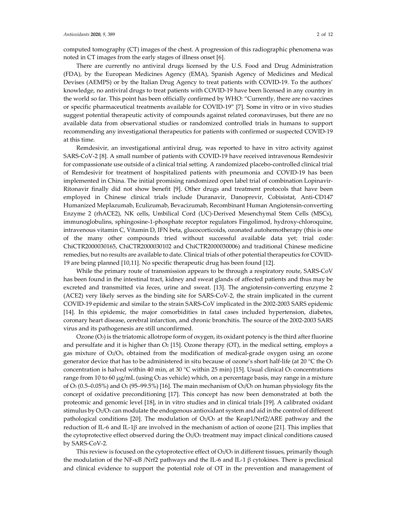computed tomography (CT) images of the chest. A progression of this radiographic phenomena was noted in CT images from the early stages of illness onset [6].

There are currently no antiviral drugs licensed by the U.S. Food and Drug Administration (FDA), by the European Medicines Agency (EMA), Spanish Agency of Medicines and Medical Devises (AEMPS) or by the Italian Drug Agency to treat patients with COVID-19. To the authors' knowledge, no antiviral drugs to treat patients with COVID-19 have been licensed in any country in the world so far. This point has been officially confirmed by WHO: "Currently, there are no vaccines or specific pharmaceutical treatments available for COVID-19" [7]. Some in vitro or in vivo studies suggest potential therapeutic activity of compounds against related coronaviruses, but there are no available data from observational studies or randomized controlled trials in humans to support recommending any investigational therapeutics for patients with confirmed or suspected COVID-19 at this time.

Remdesivir, an investigational antiviral drug, was reported to have in vitro activity against SARS-CoV-2 [8]. A small number of patients with COVID-19 have received intravenous Remdesivir for compassionate use outside of a clinical trial setting. A randomized placebo-controlled clinical trial of Remdesivir for treatment of hospitalized patients with pneumonia and COVID-19 has been implemented in China. The initial promising randomized open label trial of combination Lopinavir-Ritonavir finally did not show benefit [9]. Other drugs and treatment protocols that have been employed in Chinese clinical trials include Duranavir, Danoprevir, Cobisistat, Anti-CD147 Humanized Meplazumab, Eculizumab, Bevacizumab, Recombinant Human Angiotensin-converting Enzyme 2 (rhACE2), NK cells, Umbilical Cord (UC)-Derived Mesenchymal Stem Cells (MSCs), immunoglobulins, sphingosine-1-phosphate receptor regulators Fingolimod, hydroxy-chloroquine, intravenous vitamin C, Vitamin D, IFN beta, glucocorticoids, ozonated autohemotherapy (this is one of the many other compounds tried without successful available data yet; trial code: ChiCTR2000030165, ChiCTR2000030102 and ChiCTR2000030006) and traditional Chinese medicine remedies, but no results are available to date. Clinical trials of other potential therapeutics for COVID-19 are being planned [10,11]. No specific therapeutic drug has been found [12].

While the primary route of transmission appears to be through a respiratory route, SARS-CoV has been found in the intestinal tract, kidney and sweat glands of affected patients and thus may be excreted and transmitted via feces, urine and sweat. [13]. The angiotensin-converting enzyme 2 (ACE2) very likely serves as the binding site for SARS-CoV-2, the strain implicated in the current COVID-19 epidemic and similar to the strain SARS-CoV implicated in the 2002-2003 SARS epidemic [14]. In this epidemic, the major comorbidities in fatal cases included hypertension, diabetes, coronary heart disease, cerebral infarction, and chronic bronchitis. The source of the 2002-2003 SARS virus and its pathogenesis are still unconfirmed.

Ozone  $(O_3)$  is the triatomic allotrope form of oxygen, its oxidant potency is the third after fluorine and persulfate and it is higher than  $O<sub>2</sub>$  [15]. Ozone therapy (OT), in the medical setting, employs a gas mixture of  $O_2/O_3$ , obtained from the modification of medical-grade oxygen using an ozone generator device that has to be administered in situ because of ozone's short half-life (at 20 °C the O3 concentration is halved within 40 min, at 30  $^{\circ}$ C within 25 min) [15]. Usual clinical O<sub>3</sub> concentrations range from 10 to 60  $\mu$ g/mL (using O<sub>2</sub> as vehicle) which, on a percentage basis, may range in a mixture of O<sub>3</sub> (0.5–0.05%) and O<sub>2</sub> (95–99.5%) [16]. The main mechanism of O<sub>2</sub>/O<sub>3</sub> on human physiology fits the concept of oxidative preconditioning [17]. This concept has now been demonstrated at both the proteomic and genomic level [18], in in vitro studies and in clinical trials [19]. A calibrated oxidant stimulus by  $O_2/O_3$  can modulate the endogenous antioxidant system and aid in the control of different pathological conditions [20]. The modulation of  $O<sub>2</sub>/O<sub>3</sub>$  at the Keap1/Nrf2/ARE pathway and the reduction of IL-6 and IL-1β are involved in the mechanism of action of ozone [21]. This implies that the cytoprotective effect observed during the  $O_2/O_3$  treatment may impact clinical conditions caused by SARS-CoV-2.

This review is focused on the cytoprotective effect of  $O_2/O_3$  in different tissues, primarily though the modulation of the NF-κB /Nrf2 pathways and the IL-6 and IL-1 β cytokines. There is preclinical and clinical evidence to support the potential role of OT in the prevention and management of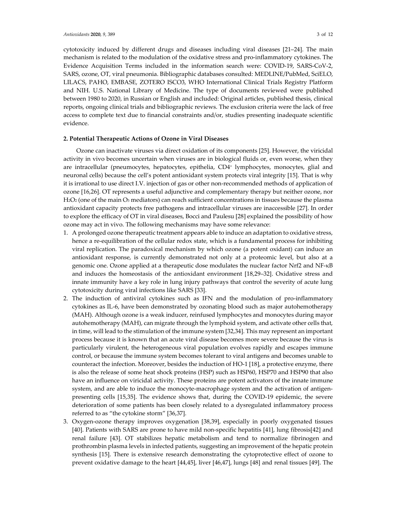cytotoxicity induced by different drugs and diseases including viral diseases [21–24]. The main mechanism is related to the modulation of the oxidative stress and pro-inflammatory cytokines. The Evidence Acquisition Terms included in the information search were: COVID-19, SARS-CoV-2, SARS, ozone, OT, viral pneumonia. Bibliographic databases consulted: MEDLINE/PubMed, SciELO, LILACS, PAHO, EMBASE, ZOTERO ISCO3, WHO International Clinical Trials Registry Platform and NIH. U.S. National Library of Medicine. The type of documents reviewed were published between 1980 to 2020, in Russian or English and included: Original articles, published thesis, clinical reports, ongoing clinical trials and bibliographic reviews. The exclusion criteria were the lack of free access to complete text due to financial constraints and/or, studies presenting inadequate scientific evidence.

#### **2. Potential Therapeutic Actions of Ozone in Viral Diseases**

Ozone can inactivate viruses via direct oxidation of its components [25]. However, the viricidal activity in vivo becomes uncertain when viruses are in biological fluids or, even worse, when they are intracellular (pneumocytes, hepatocytes, epithelia, CD4+ lymphocytes, monocytes, glial and neuronal cells) because the cell's potent antioxidant system protects viral integrity [15]. That is why it is irrational to use direct I.V. injection of gas or other non-recommended methods of application of ozone [16,26]. OT represents a useful adjunctive and complementary therapy but neither ozone, nor  $H<sub>2</sub>O<sub>2</sub>$  (one of the main  $O<sub>3</sub>$  mediators) can reach sufficient concentrations in tissues because the plasma antioxidant capacity protects free pathogens and intracellular viruses are inaccessible [27]. In order to explore the efficacy of OT in viral diseases, Bocci and Paulesu [28] explained the possibility of how ozone may act in vivo. The following mechanisms may have some relevance:

- 1. A prolonged ozone therapeutic treatment appears able to induce an adaptation to oxidative stress, hence a re-equilibration of the cellular redox state, which is a fundamental process for inhibiting viral replication. The paradoxical mechanism by which ozone (a potent oxidant) can induce an antioxidant response, is currently demonstrated not only at a proteomic level, but also at a genomic one. Ozone applied at a therapeutic dose modulates the nuclear factor Nrf2 and NF-κB and induces the homeostasis of the antioxidant environment [18,29–32]. Oxidative stress and innate immunity have a key role in lung injury pathways that control the severity of acute lung cytotoxicity during viral infections like SARS [33].
- 2. The induction of antiviral cytokines such as IFN and the modulation of pro-inflammatory cytokines as IL-6, have been demonstrated by ozonating blood such as major autohemotherapy (MAH). Although ozone is a weak inducer, reinfused lymphocytes and monocytes during mayor autohemotherapy (MAH), can migrate through the lymphoid system, and activate other cells that, in time, will lead to the stimulation of the immune system [32,34]. This may represent an important process because it is known that an acute viral disease becomes more severe because the virus is particularly virulent, the heterogeneous viral population evolves rapidly and escapes immune control, or because the immune system becomes tolerant to viral antigens and becomes unable to counteract the infection. Moreover, besides the induction of HO-1 [18], a protective enzyme, there is also the release of some heat shock proteins (HSP) such as HSP60, HSP70 and HSP90 that also have an influence on viricidal activity. These proteins are potent activators of the innate immune system, and are able to induce the monocyte-macrophage system and the activation of antigenpresenting cells [15,35]. The evidence shows that, during the COVID-19 epidemic, the severe deterioration of some patients has been closely related to a dysregulated inflammatory process referred to as "the cytokine storm" [36,37].
- 3. Oxygen-ozone therapy improves oxygenation [38,39], especially in poorly oxygenated tissues [40]. Patients with SARS are prone to have mild non-specific hepatitis [41], lung fibrosis[42] and renal failure [43]. OT stabilizes hepatic metabolism and tend to normalize fibrinogen and prothrombin plasma levels in infected patients, suggesting an improvement of the hepatic protein synthesis [15]. There is extensive research demonstrating the cytoprotective effect of ozone to prevent oxidative damage to the heart [44,45], liver [46,47], lungs [48] and renal tissues [49]. The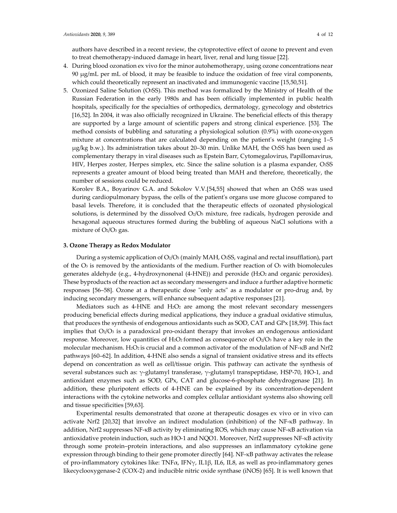authors have described in a recent review, the cytoprotective effect of ozone to prevent and even to treat chemotherapy-induced damage in heart, liver, renal and lung tissue [22].

- 4. During blood ozonation ex vivo for the minor autohemotherapy, using ozone concentrations near 90 µg/mL per mL of blood, it may be feasible to induce the oxidation of free viral components, which could theoretically represent an inactivated and immunogenic vaccine [15,50,51].
- 5. Ozonized Saline Solution (O3SS). This method was formalized by the Ministry of Health of the Russian Federation in the early 1980s and has been officially implemented in public health hospitals, specifically for the specialties of orthopedics, dermatology, gynecology and obstetrics [16,52]. In 2004, it was also officially recognized in Ukraine. The beneficial effects of this therapy are supported by a large amount of scientific papers and strong clinical experience. [53]. The method consists of bubbling and saturating a physiological solution (0.9%) with ozone-oxygen mixture at concentrations that are calculated depending on the patient's weight (ranging 1–5 µg/kg b.w.). Its administration takes about 20–30 min. Unlike MAH, the O3SS has been used as complementary therapy in viral diseases such as Epstein Barr, Cytomegalovirus, Papillomavirus, HIV, Herpes zoster, Herpes simplex, etc. Since the saline solution is a plasma expander, O3SS represents a greater amount of blood being treated than MAH and therefore, theoretically, the number of sessions could be reduced.

Korolev B.A., Boyarinov G.A. and Sokolov V.V.[54,55] showed that when an O3SS was used during cardiopulmonary bypass, the cells of the patient's organs use more glucose compared to basal levels. Therefore, it is concluded that the therapeutic effects of ozonated physiological solutions, is determined by the dissolved  $O<sub>2</sub>/O<sub>3</sub>$  mixture, free radicals, hydrogen peroxide and hexagonal aqueous structures formed during the bubbling of aqueous NaCl solutions with a mixture of  $O<sub>2</sub>/O<sub>3</sub>$  gas.

#### **3. Ozone Therapy as Redox Modulator**

During a systemic application of O2/O3 (mainly MAH, O3SS, vaginal and rectal insufflation), part of the  $\text{O}_3$  is removed by the antioxidants of the medium. Further reaction of  $\text{O}_3$  with biomolecules generates aldehyde (e.g., 4-hydroxynonenal (4-HNE)) and peroxide (H2O2 and organic peroxides). These byproducts of the reaction act as secondary messengers and induce a further adaptive hormetic responses [56–58]. Ozone at a therapeutic dose "only acts" as a modulator or pro-drug and, by inducing secondary messengers, will enhance subsequent adaptive responses [21].

Mediators such as 4-HNE and  $H_2O_2$  are among the most relevant secondary messengers producing beneficial effects during medical applications, they induce a gradual oxidative stimulus, that produces the synthesis of endogenous antioxidants such as SOD, CAT and GPx [18,59]. This fact implies that  $O_2/O_3$  is a paradoxical pro-oxidant therapy that invokes an endogenous antioxidant response. Moreover, low quantities of H<sub>2</sub>O<sub>2</sub> formed as consequence of  $O_2/O_3$  have a key role in the molecular mechanism. H<sub>2</sub>O<sub>2</sub> is crucial and a common activator of the modulation of NF-κB and Nrf2 pathways [60–62]. In addition, 4-HNE also sends a signal of transient oxidative stress and its effects depend on concentration as well as cell/tissue origin. This pathway can activate the synthesis of several substances such as: γ-glutamyl transferase, γ-glutamyl transpeptidase, HSP-70, HO-1, and antioxidant enzymes such as SOD, GPx, CAT and glucose-6-phosphate dehydrogenase [21]. In addition, these pluripotent effects of 4-HNE can be explained by its concentration-dependent interactions with the cytokine networks and complex cellular antioxidant systems also showing cell and tissue specificities [59,63].

Experimental results demonstrated that ozone at therapeutic dosages ex vivo or in vivo can activate Nrf2 [20,32] that involve an indirect modulation (inhibition) of the NF-κB pathway. In addition, Nrf2 suppresses NF-κB activity by eliminating ROS, which may cause NF-κB activation via antioxidative protein induction, such as HO-1 and NQO1. Moreover, Nrf2 suppresses NF-κB activity through some protein–protein interactions, and also suppresses an inflammatory cytokine gene expression through binding to their gene promoter directly [64]. NF-κB pathway activates the release of pro-inflammatory cytokines like: TNF $\alpha$ , IFN $\gamma$ , IL1β, IL6, IL8, as well as pro-inflammatory genes likecyclooxygenase-2 (COX-2) and inducible nitric oxide synthase (iNOS) [65]. It is well known that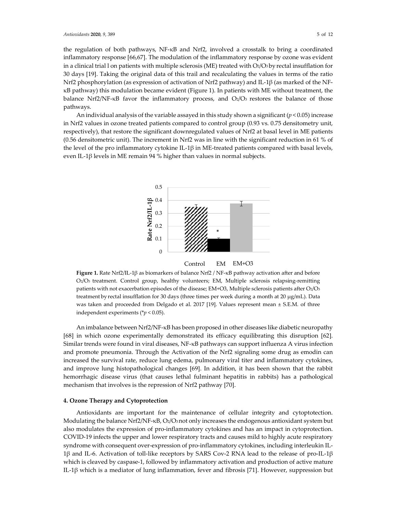the regulation of both pathways, NF-κB and Nrf2, involved a crosstalk to bring a coordinated inflammatory response [66,67]. The modulation of the inflammatory response by ozone was evident in a clinical trial l on patients with multiple sclerosis (ME) treated with  $O_2/O_3$  by rectal insufflation for 30 days [19]. Taking the original data of this trail and recalculating the values in terms of the ratio Nrf2 phosphorylation (as expression of activation of Nrf2 pathway) and IL-1β (as marked of the NFκB pathway) this modulation became evident (Figure 1). In patients with ME without treatment, the balance Nrf2/NF- $\kappa$ B favor the inflammatory process, and  $O_2/O_3$  restores the balance of those pathways.

An individual analysis of the variable assayed in this study shown a significant  $(p < 0.05)$  increase in Nrf2 values in ozone treated patients compared to control group (0.93 vs. 0.75 densitometry unit, respectively), that restore the significant downregulated values of Nrf2 at basal level in ME patients (0.56 densitometric unit). The increment in Nrf2 was in line with the significant reduction in 61 % of the level of the pro inflammatory cytokine IL-1 $\beta$  in ME-treated patients compared with basal levels, even IL-1β levels in ME remain 94 % higher than values in normal subjects.





**Figure 1.** Rate Nrf2/IL-1β as biomarkers of balance Nrf2 / NF-κB pathway activation after and before O2/O3 treatment. Control group, healthy volunteers; EM, Multiple sclerosis relapsing-remitting patients with not exacerbation episodes of the disease; EM+O3, Multiple sclerosis patients after O2/O3 treatment by rectal insufflation for 30 days (three times per week during a month at 20 µg/mL). Data was taken and proceeded from Delgado et al. 2017 [19]. Values represent mean ± S.E.M. of three independent experiments (\**p* < 0.05).

An imbalance between Nrf2/NF-κB has been proposed in other diseases like diabetic neuropathy [68] in which ozone experimentally demonstrated its efficacy equilibrating this disruption [62]. Similar trends were found in viral diseases, NF-κB pathways can support influenza A virus infection and promote pneumonia. Through the Activation of the Nrf2 signaling some drug as emodin can increased the survival rate, reduce lung edema, pulmonary viral titer and inflammatory cytokines, and improve lung histopathological changes [69]. In addition, it has been shown that the rabbit hemorrhagic disease virus (that causes lethal fulminant hepatitis in rabbits) has a pathological mechanism that involves is the repression of Nrf2 pathway [70].

#### **4. Ozone Therapy and Cytoprotection**

Antioxidants are important for the maintenance of cellular integrity and cytoptotection. Modulating the balance Nrf2/NF-κB, O2/O3 not only increases the endogenous antioxidant system but also modulates the expression of pro-inflammatory cytokines and has an impact in cytoprotection. COVID-19 infects the upper and lower respiratory tracts and causes mild to highly acute respiratory syndrome with consequent over-expression of pro-inflammatory cytokines, including interleukin IL-1β and IL-6. Activation of toll-like receptors by SARS Cov-2 RNA lead to the release of pro-IL-1β which is cleaved by caspase-1, followed by inflammatory activation and production of active mature IL-1β which is a mediator of lung inflammation, fever and fibrosis [71]. However, suppression but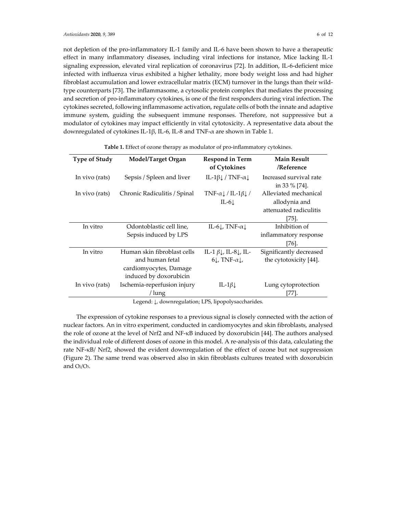not depletion of the pro-inflammatory IL-1 family and IL-6 have been shown to have a therapeutic effect in many inflammatory diseases, including viral infections for instance, Mice lacking IL-1 signaling expression, elevated viral replication of coronavirus [72]. In addition, IL-6-deficient mice infected with influenza virus exhibited a higher lethality, more body weight loss and had higher fibroblast accumulation and lower extracellular matrix (ECM) turnover in the lungs than their wildtype counterparts [73]. The inflammasome, a cytosolic protein complex that mediates the processing and secretion of pro-inflammatory cytokines, is one of the first responders during viral infection. The cytokines secreted, following inflammasome activation, regulate cells of both the innate and adaptive immune system, guiding the subsequent immune responses. Therefore, not suppressive but a modulator of cytokines may impact efficiently in vital cytotoxicity. A representative data about the downregulated of cytokines IL-1β, IL-6, IL-8 and TNF-α are shown in Table 1.

| <b>Type of Study</b> | <b>Model/Target Organ</b>                                                                          | <b>Respond in Term</b><br>of Cytokines                                                         | <b>Main Result</b><br>/Reference                                             |
|----------------------|----------------------------------------------------------------------------------------------------|------------------------------------------------------------------------------------------------|------------------------------------------------------------------------------|
| In vivo (rats)       | Sepsis / Spleen and liver                                                                          | IL-1 $\beta$ / TNF- $\alpha$                                                                   | Increased survival rate<br>in 33 $\%$ [74].                                  |
| In vivo (rats)       | Chronic Radiculitis / Spinal                                                                       | $TNF-\alpha \downarrow / IL-1\beta \downarrow /$<br>IL-6 $\downarrow$                          | Alleviated mechanical<br>allodynia and<br>attenuated radiculitis<br>$[75]$ . |
| In vitro             | Odontoblastic cell line,<br>Sepsis induced by LPS                                                  | IL-61, TNF- $\alpha$ 1                                                                         | Inhibition of<br>inflammatory response<br>[76].                              |
| In vitro             | Human skin fibroblast cells<br>and human fetal<br>cardiomyocytes, Damage<br>induced by doxorubicin | IL-1 $\beta \downarrow$ , IL-8 $\downarrow$ , IL-<br>$6\downarrow$ , TNF- $\alpha\downarrow$ , | Significantly decreased<br>the cytotoxicity [44].                            |
| In vivo (rats)       | Ischemia-reperfusion injury<br>/ lung                                                              | IL-1 $\beta$                                                                                   | Lung cytoprotection<br>[77].                                                 |

**Table 1.** Effect of ozone therapy as modulator of pro-inflammatory cytokines.

Legend: ↓, downregulation; LPS, lipopolysaccharides.

The expression of cytokine responses to a previous signal is closely connected with the action of nuclear factors. An in vitro experiment, conducted in cardiomyocytes and skin fibroblasts, analysed the role of ozone at the level of Nrf2 and NF-κB induced by doxorubicin [44]. The authors analysed the individual role of different doses of ozone in this model. A re-analysis of this data, calculating the rate NF-κB/ Nrf2, showed the evident downregulation of the effect of ozone but not suppression (Figure 2). The same trend was observed also in skin fibroblasts cultures treated with doxorubicin and  $O<sub>2</sub>/O<sub>3</sub>$ .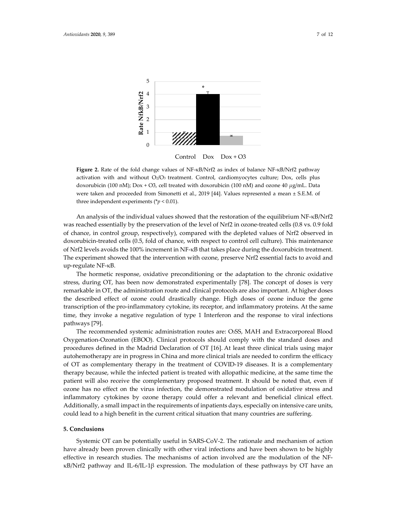

**Figure 2.** Rate of the fold change values of NF-κB/Nrf2 as index of balance NF-κB/Nrf2 pathway activation with and without  $O_2/O_3$  treatment. Control, cardiomyocytes culture; Dox, cells plus doxorubicin (100 nM); Dox + O3, cell treated with doxorubicin (100 nM) and ozone 40 *μ*g/mL. Data were taken and proceeded from Simonetti et al., 2019 [44]. Values represented a mean ± S.E.M. of three independent experiments (\**p* < 0.01).

An analysis of the individual values showed that the restoration of the equilibrium NF-κB/Nrf2 was reached essentially by the preservation of the level of Nrf2 in ozone-treated cells (0.8 vs. 0.9 fold of chance, in control group, respectively), compared with the depleted values of Nrf2 observed in doxorubicin-treated cells (0.5, fold of chance, with respect to control cell culture). This maintenance of Nrf2 levels avoids the 100% increment in NF-κB that takes place during the doxorubicin treatment. The experiment showed that the intervention with ozone, preserve Nrf2 essential facts to avoid and up-regulate NF-κB.

The hormetic response, oxidative preconditioning or the adaptation to the chronic oxidative stress, during OT, has been now demonstrated experimentally [78]. The concept of doses is very remarkable in OT, the administration route and clinical protocols are also important. At higher doses the described effect of ozone could drastically change. High doses of ozone induce the gene transcription of the pro-inflammatory cytokine, its receptor, and inflammatory proteins. At the same time, they invoke a negative regulation of type 1 Interferon and the response to viral infections pathways [79].

The recommended systemic administration routes are: O3SS, MAH and Extracorporeal Blood Oxygenation-Ozonation (EBOO). Clinical protocols should comply with the standard doses and procedures defined in the Madrid Declaration of OT [16]. At least three clinical trials using major autohemotherapy are in progress in China and more clinical trials are needed to confirm the efficacy of OT as complementary therapy in the treatment of COVID-19 diseases. It is a complementary therapy because, while the infected patient is treated with allopathic medicine, at the same time the patient will also receive the complementary proposed treatment. It should be noted that, even if ozone has no effect on the virus infection, the demonstrated modulation of oxidative stress and inflammatory cytokines by ozone therapy could offer a relevant and beneficial clinical effect. Additionally, a small impact in the requirements of inpatients days, especially on intensive care units, could lead to a high benefit in the current critical situation that many countries are suffering.

## **5. Conclusions**

Systemic OT can be potentially useful in SARS-CoV-2. The rationale and mechanism of action have already been proven clinically with other viral infections and have been shown to be highly effective in research studies. The mechanisms of action involved are the modulation of the NFκB/Nrf2 pathway and IL-6/IL-1β expression. The modulation of these pathways by OT have an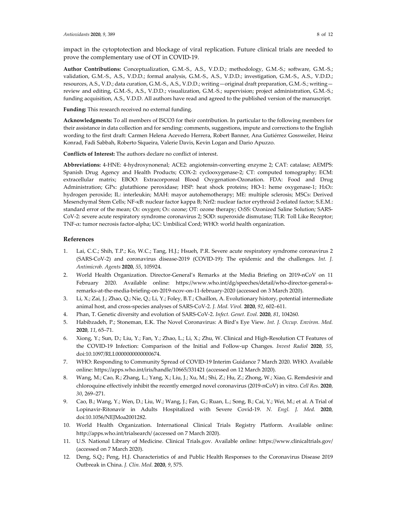impact in the cytoptotection and blockage of viral replication. Future clinical trials are needed to prove the complementary use of OT in COVID-19.

**Author Contributions:** Conceptualization, G.M.-S., A.S., V.D.D.; methodology, G.M.-S.; software, G.M.-S.; validation, G.M.-S., A.S., V.D.D.; formal analysis, G.M.-S., A.S., V.D.D.; investigation, G.M.-S., A.S., V.D.D.; resources, A.S., V.D.; data curation, G.M.-S., A.S., V.D.D.; writing—original draft preparation, G.M.-S.; writing review and editing, G.M.-S., A.S., V.D.D.; visualization, G.M.-S.; supervision; project administration, G.M.-S.; funding acquisition, A.S., V.D.D. All authors have read and agreed to the published version of the manuscript.

**Funding:** This research received no external funding.

**Acknowledgments:** To all members of ISCO3 for their contribution. In particular to the following members for their assistance in data collection and for sending: comments, suggestions, impute and corrections to the English wording to the first draft: Carmen Helena Acevedo Herrera, Robert Banner, Ana Gutiérrez Gossweiler, Heinz Konrad, Fadi Sabbah, Roberto Siqueira, Valerie Davis, Kevin Logan and Dario Apuzzo.

**Conflicts of Interest:** The authors declare no conflict of interest.

**Abbreviations:** 4-HNE: 4-hydroxynonenal; ACE2: angiotensin-converting enzyme 2; CAT: catalase; AEMPS: Spanish Drug Agency and Health Products; COX-2: cyclooxygenase-2; CT: computed tomography; ECM: extracellular matrix; EBOO: Extracorporeal Blood Oxygenation-Ozonation. FDA: Food and Drug Administration; GPx: glutathione peroxidase; HSP: heat shock proteins; HO-1: heme oxygenase-1; H2O2: hydrogen peroxide; IL: interleukin; MAH: mayor autohemotherapy; ME: multiple sclerosis; MSCs: Derived Mesenchymal Stem Cells; NF-κB: nuclear factor kappa B; Nrf2: nuclear factor erythroid 2-related factor; S.E.M.: standard error of the mean; O2: oxygen; O3: ozone; OT: ozone therapy; O3SS: Ozonized Saline Solution*;* SARS-CoV-2: severe acute respiratory syndrome coronavirus 2; SOD: superoxide dismutase; TLR: Toll Like Receptor; TNF-α: tumor necrosis factor-alpha; UC: Umbilical Cord; WHO: world health organization.

#### **References**

- 1. Lai, C.C.; Shih, T.P.; Ko, W.C.; Tang, H.J.; Hsueh, P.R. Severe acute respiratory syndrome coronavirus 2 (SARS-CoV-2) and coronavirus disease-2019 (COVID-19): The epidemic and the challenges. *Int. J. Antimicrob. Agents* **2020**, *55*, 105924.
- 2. World Health Organization. Director-General's Remarks at the Media Briefing on 2019-nCoV on 11 February 2020. Available online: https://www.who.int/dg/speeches/detail/who-director-general-sremarks-at-the-media-briefing-on-2019-ncov-on-11-february-2020 (accessed on 3 March 2020).
- 3. Li, X.; Zai, J.; Zhao, Q.; Nie, Q.; Li, Y.; Foley, B.T.; Chaillon, A. Evolutionary history, potential intermediate animal host, and cross-species analyses of SARS-CoV-2. *J. Med. Virol.* **2020**, *92*, 602–611.
- 4. Phan, T. Genetic diversity and evolution of SARS-CoV-2. *Infect. Genet. Evol.* **2020**, *81*, 104260.
- 5. Habibzadeh, P.; Stoneman, E.K. The Novel Coronavirus: A Bird's Eye View. *Int. J. Occup. Environ. Med.*  **2020**, *11*, 65–71.
- 6. Xiong, Y.; Sun, D.; Liu, Y.; Fan, Y.; Zhao, L.; Li, X.; Zhu, W. Clinical and High-Resolution CT Features of the COVID-19 Infection: Comparison of the Initial and Follow-up Changes. *Invest Radiol* **2020**, *55*, doi:10.1097/RLI.0000000000000674.
- 7. WHO: Responding to Community Spread of COVID-19 Interim Guidance 7 March 2020. WHO. Available online: https://apps.who.int/iris/handle/10665/331421 (accessed on 12 March 2020).
- 8. Wang, M.; Cao, R.; Zhang, L.; Yang, X.; Liu, J.; Xu, M.; Shi, Z.; Hu, Z.; Zhong, W.; Xiao, G. Remdesivir and chloroquine effectively inhibit the recently emerged novel coronavirus (2019-nCoV) in vitro. *Cell Res.* **2020**, *30*, 269–271.
- 9. Cao, B.; Wang, Y.; Wen, D.; Liu, W.; Wang, J.; Fan, G.; Ruan, L.; Song, B.; Cai, Y.; Wei, M.; et al. A Trial of Lopinavir-Ritonavir in Adults Hospitalized with Severe Covid-19. *N. Engl. J. Med.* **2020**, doi:10.1056/NEJMoa2001282.
- 10. World Health Organization. International Clinical Trials Registry Platform. Available online: http://apps.who.int/trialsearch/ (accessed on 7 March 2020).
- 11. U.S. National Library of Medicine. Clinical Trials.gov. Available online: https://www.clinicaltrials.gov/ (accessed on 7 March 2020).
- 12. Deng, S.Q.; Peng, H.J. Characteristics of and Public Health Responses to the Coronavirus Disease 2019 Outbreak in China. *J. Clin. Med.* **2020**, *9*, 575.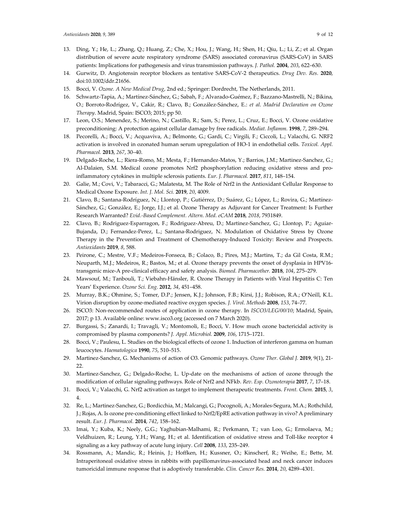- 13. Ding, Y.; He, L.; Zhang, Q.; Huang, Z.; Che, X.; Hou, J.; Wang, H.; Shen, H.; Qiu, L.; Li, Z.; et al. Organ distribution of severe acute respiratory syndrome (SARS) associated coronavirus (SARS-CoV) in SARS patients: Implications for pathogenesis and virus transmission pathways. *J. Pathol.* **2004**, *203*, 622–630.
- 14. Gurwitz, D. Angiotensin receptor blockers as tentative SARS-CoV-2 therapeutics. *Drug Dev. Res.* **2020**, doi:10.1002/ddr.21656.
- 15. Bocci, V. *Ozone. A New Medical Drug*, 2nd ed.; Springer: Dordrecht, The Netherlands, 2011.
- 16. Schwartz-Tapia, A.; Martínez-Sánchez, G.; Sabah, F.; Alvarado-Guémez, F.; Bazzano-Mastrelli, N.; Bikina, O.; Borroto-Rodrígez, V., Cakir, R.; Clavo, B.; González-Sánchez, E.: *et al*. *Madrid Declaration on Ozone Therapy*. Madrid, Spain: ISCO3; 2015; pp 50.
- 17. Leon, O.S.; Menendez, S.; Merino, N.; Castillo, R.; Sam, S.; Perez, L.; Cruz, E.; Bocci, V. Ozone oxidative preconditioning: A protection against cellular damage by free radicals. *Mediat. Inflamm.* **1998**, *7*, 289–294.
- 18. Pecorelli, A.; Bocci, V.; Acquaviva, A.; Belmonte, G.; Gardi, C.; Virgili, F.; Ciccoli, L.; Valacchi, G. NRF2 activation is involved in ozonated human serum upregulation of HO-1 in endothelial cells. *Toxicol. Appl. Pharmacol.* **2013**, *267*, 30–40.
- 19. Delgado-Roche, L.; Riera-Romo, M.; Mesta, F.; Hernandez-Matos, Y.; Barrios, J.M.; Martinez-Sanchez, G.; Al-Dalaien, S.M. Medical ozone promotes Nrf2 phosphorylation reducing oxidative stress and proinflammatory cytokines in multiple sclerosis patients. *Eur. J. Pharmacol.* **2017**, *811*, 148–154.
- 20. Galie, M.; Covi, V.; Tabaracci, G.; Malatesta, M. The Role of Nrf2 in the Antioxidant Cellular Response to Medical Ozone Exposure. *Int. J. Mol. Sci.* **2019**, *20*, 4009.
- 21. Clavo, B.; Santana-Rodríguez, N.; Llontop, P.; Gutiérrez, D.; Suárez, G.; López, L.; Rovira, G.; Martínez-Sánchez, G.; González, E.; Jorge, I.J.; et al. Ozone Therapy as Adjuvant for Cancer Treatment: Is Further Research Warranted? *Evid.-Based Complement. Altern. Med. eCAM* **2018**, *2018*, 7931849.
- 22. Clavo, B.; Rodriguez-Esparragon, F.; Rodriguez-Abreu, D.; Martinez-Sanchez, G.; Llontop, P.; Aguiar-Bujanda, D.; Fernandez-Perez, L.; Santana-Rodriguez, N. Modulation of Oxidative Stress by Ozone Therapy in the Prevention and Treatment of Chemotherapy-Induced Toxicity: Review and Prospects. *Antioxidants* **2019**, *8*, 588.
- 23. Peirone, C.; Mestre, V.F.; Medeiros-Fonseca, B.; Colaco, B.; Pires, M.J.; Martins, T.; da Gil Costa, R.M.; Neuparth, M.J.; Medeiros, R.; Bastos, M.; et al. Ozone therapy prevents the onset of dysplasia in HPV16 transgenic mice-A pre-clinical efficacy and safety analysis. *Biomed. Pharmacother.* **2018**, *104*, 275–279.
- 24. Mawsouf, M.; Tanbouli, T.; Viebahn-Hänsler, R. Ozone Therapy in Patients with Viral Hepatitis C: Ten Years' Experience. *Ozone Sci. Eng.* **2012**, *34*, 451–458.
- 25. Murray, B.K.; Ohmine, S.; Tomer, D.P.; Jensen, K.J.; Johnson, F.B.; Kirsi, J.J.; Robison, R.A.; O'Neill, K.L. Virion disruption by ozone-mediated reactive oxygen species. *J. Virol. Methods* **2008**, *153*, 74–77.
- 26. ISCO3: Non-recommended routes of application in ozone therapy. In *ISCO3/LEG/00/10*; Madrid, Spain, 2017; p 13. Available online: www.isco3.org (accessed on 7 March 2020).
- 27. Burgassi, S.; Zanardi, I.; Travagli, V.; Montomoli, E.; Bocci, V. How much ozone bactericidal activity is compromised by plasma components? *J. Appl. Microbiol.* **2009**, *106*, 1715–1721.
- 28. Bocci, V.; Paulesu, L. Studies on the biological effects of ozone 1. Induction of interferon gamma on human leucocytes. *Haematologica* **1990**, *75*, 510–515.
- 29. Martinez-Sanchez, G. Mechanisms of action of O3. Genomic pathways. *Ozone Ther. Global J.* **2019**, 9(1), 21- 22.
- 30. Martinez-Sanchez, G.; Delgado-Roche, L. Up-date on the mechanisms of action of ozone through the modification of cellular signaling pathways. Role of Nrf2 and NFkb. *Rev. Esp. Ozonoterapia* **2017**, *7*, 17–18.
- 31. Bocci, V.; Valacchi, G. Nrf2 activation as target to implement therapeutic treatments. *Front. Chem.* **2015**, *3*, 4.
- 32. Re, L.; Martinez-Sanchez, G.; Bordicchia, M.; Malcangi, G.; Pocognoli, A.; Morales-Segura, M.A.; Rothchild, J.; Rojas, A. Is ozone pre-conditioning effect linked to Nrf2/EpRE activation pathway in vivo? A preliminary result. *Eur. J. Pharmacol.* **2014**, *742*, 158–162.
- 33. Imai, Y.; Kuba, K.; Neely, G.G.; Yaghubian-Malhami, R.; Perkmann, T.; van Loo, G.; Ermolaeva, M.; Veldhuizen, R.; Leung, Y.H.; Wang, H.; et al. Identification of oxidative stress and Toll-like receptor 4 signaling as a key pathway of acute lung injury. *Cell* **2008**, *133*, 235–249.
- 34. Rossmann, A.; Mandic, R.; Heinis, J.; Hoffken, H.; Kussner, O.; Kinscherf, R.; Weihe, E.; Bette, M. Intraperitoneal oxidative stress in rabbits with papillomavirus-associated head and neck cancer induces tumoricidal immune response that is adoptively transferable. *Clin. Cancer Res.* **2014**, *20*, 4289–4301.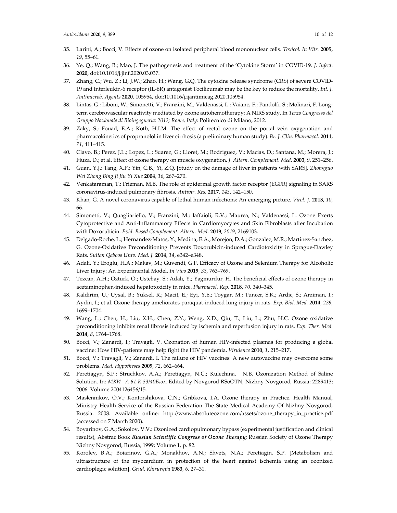- 35. Larini, A.; Bocci, V. Effects of ozone on isolated peripheral blood mononuclear cells. *Toxicol. In Vitr.* **2005**, *19*, 55–61.
- 36. Ye, Q.; Wang, B.; Mao, J. The pathogenesis and treatment of the 'Cytokine Storm' in COVID-19. *J. Infect.*  **2020**, doi:10.1016/j.jinf.2020.03.037.
- 37. Zhang, C.; Wu, Z.; Li, J.W.; Zhao, H.; Wang, G.Q. The cytokine release syndrome (CRS) of severe COVID-19 and Interleukin-6 receptor (IL-6R) antagonist Tocilizumab may be the key to reduce the mortality. *Int. J. Antimicrob. Agents* **2020**, 105954, doi:10.1016/j.ijantimicag.2020.105954.
- 38. Lintas, G.; Liboni, W.; Simonetti, V.; Franzini, M.; Valdenassi, L.; Vaiano, F.; Pandolfi, S.; Molinari, F. Longterm cerebrovascular reactivity mediated by ozone autohemotherapy: A NIRS study. In *Terzo Congresso del Gruppo Nazionale di Bioingegneria: 2012; Rome, Italy*: Politecnico di Milano; 2012.
- 39. Zaky, S.; Fouad, E.A.; Kotb, H.I.M. The effect of rectal ozone on the portal vein oxygenation and pharmacokinetics of propranolol in liver cirrhosis (a preliminary human study). *Br. J. Clin. Pharmacol.* **2011**, *71*, 411–415.
- 40. Clavo, B.; Perez, J.L.; Lopez, L.; Suarez, G.; Lloret, M.; Rodriguez, V.; Macias, D.; Santana, M.; Morera, J.; Fiuza, D.; et al. Effect of ozone therapy on muscle oxygenation. *J. Altern. Complement. Med.* **2003**, *9*, 251–256.
- 41. Guan, Y.J.; Tang, X.P.; Yin, C.B.; Yi, Z.Q. [Study on the damage of liver in patients with SARS]. *Zhongguo Wei Zhong Bing Ji Jiu Yi Xue* **2004**, *16*, 267–270.
- 42. Venkataraman, T.; Frieman, M.B. The role of epidermal growth factor receptor (EGFR) signaling in SARS coronavirus-induced pulmonary fibrosis. *Antivir. Res.* **2017**, *143*, 142–150.
- 43. Khan, G. A novel coronavirus capable of lethal human infections: An emerging picture. *Virol. J.* **2013**, *10*, 66.
- 44. Simonetti, V.; Quagliariello, V.; Franzini, M.; Iaffaioli, R.V.; Maurea, N.; Valdenassi, L. Ozone Exerts Cytoprotective and Anti-Inflammatory Effects in Cardiomyocytes and Skin Fibroblasts after Incubation with Doxorubicin. *Evid. Based Complement. Altern. Med.* **2019**, *2019*, 2169103.
- 45. Delgado-Roche, L.; Hernandez-Matos, Y.; Medina, E.A.; Morejon, D.A.; Gonzalez, M.R.; Martinez-Sanchez, G. Ozone-Oxidative Preconditioning Prevents Doxorubicin-induced Cardiotoxicity in Sprague-Dawley Rats. *Sultan Qaboos Univ. Med. J.* **2014**, *14*, e342–e348.
- 46. Adali, Y.; Eroglu, H.A.; Makav, M.; Guvendi, G.F. Efficacy of Ozone and Selenium Therapy for Alcoholic Liver Injury: An Experimental Model. *In Vivo* **2019**, *33*, 763–769.
- 47. Tezcan, A.H.; Ozturk, O.; Ustebay, S.; Adali, Y.; Yagmurdur, H. The beneficial effects of ozone therapy in acetaminophen-induced hepatotoxicity in mice. *Pharmacol. Rep.* **2018**, *70*, 340–345.
- 48. Kaldirim, U.; Uysal, B.; Yuksel, R.; Macit, E.; Eyi, Y.E.; Toygar, M.; Tuncer, S.K.; Ardic, S.; Arziman, I.; Aydin, I.; et al. Ozone therapy ameliorates paraquat-induced lung injury in rats. *Exp. Biol. Med.* **2014**, *239*, 1699–1704.
- 49. Wang, L.; Chen, H.; Liu, X.H.; Chen, Z.Y.; Weng, X.D.; Qiu, T.; Liu, L.; Zhu, H.C. Ozone oxidative preconditioning inhibits renal fibrosis induced by ischemia and reperfusion injury in rats. *Exp. Ther. Med.*  **2014**, *8*, 1764–1768.
- 50. Bocci, V.; Zanardi, I.; Travagli, V. Ozonation of human HIV-infected plasmas for producing a global vaccine: How HIV-patients may help fight the HIV pandemia. *Virulence* **2010**, *1*, 215–217.
- 51. Bocci, V.; Travagli, V.; Zanardi, I. The failure of HIV vaccines: A new autovaccine may overcome some problems. *Med. Hypotheses* **2009**, *72*, 662–664.
- 52. Peretiagyn, S.P.; Struchkov, А.А.; Peretiagyn, N.C.; Кulechina, N.В. Ozonization Method of Saline Solution. In: *МКИ А 61 К 33/40Бюл.* Edited by Novgorod RSoOTN, Nizhny Novgorod, Russia: 2289413; 2006. Volume 2004126456/15.
- 53. Maslennikov, O.V.; Kontorshikova, C.N.; Gribkova, I.A. Ozone therapy in Practice. Health Manual, Ministry Health Service of the Russian Federation The State Medical Academy Of Nizhny Novgorod, Russia. 2008. Available online: http://www.absoluteozone.com/assets/ozone\_therapy\_in\_practice.pdf (accessed on 7 March 2020).
- 54. Boyarinov, G.A.; Sokolov, V.V.: Ozonized cardiopulmonary bypass (experimental justification and clinical results), Abstrac Book *Russian Scientific Congress of Ozone Therapy***;** Russian Society of Ozone Therapy Nizhny Novgorod, Russia, 1999; Volume 1, p. 82.
- 55. Korolev, B.A.; Boiarinov, G.A.; Monakhov, A.N.; Shvets, N.A.; Peretiagin, S.P. [Metabolism and ultrastructure of the myocardium in protection of the heart against ischemia using an ozonized cardioplegic solution]. *Grud. Khirurgiia* **1983**, *6*, 27–31.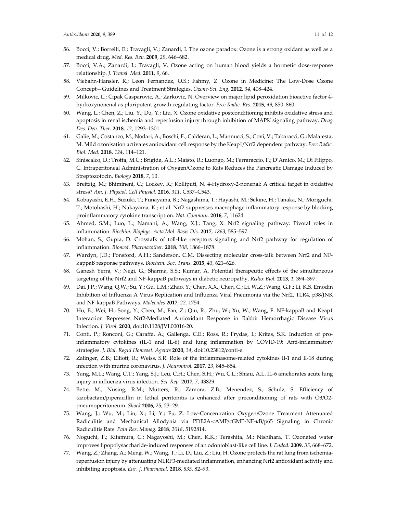- 56. Bocci, V.; Borrelli, E.; Travagli, V.; Zanardi, I. The ozone paradox: Ozone is a strong oxidant as well as a medical drug. *Med. Res. Rev.* **2009**, *29*, 646–682.
- 57. Bocci, V.A.; Zanardi, I.; Travagli, V. Ozone acting on human blood yields a hormetic dose-response relationship. *J. Transl. Med.* **2011**, *9*, 66.
- 58. Viebahn-Hansler, R.; Leon Fernandez, O.S.; Fahmy, Z. Ozone in Medicine: The Low-Dose Ozone Concept—Guidelines and Treatment Strategies. *Ozone-Sci. Eng.* **2012**, *34*, 408–424.
- 59. Milkovic, L.; Cipak Gasparovic, A.; Zarkovic, N. Overview on major lipid peroxidation bioactive factor 4 hydroxynonenal as pluripotent growth-regulating factor. *Free Radic. Res.* **2015**, *49*, 850–860.
- 60. Wang, L.; Chen, Z.; Liu, Y.; Du, Y.; Liu, X. Ozone oxidative postconditioning inhibits oxidative stress and apoptosis in renal ischemia and reperfusion injury through inhibition of MAPK signaling pathway. *Drug Des. Dev. Ther.* **2018**, *12*, 1293–1301.
- 61. Galie, M.; Costanzo, M.; Nodari, A.; Boschi, F.; Calderan, L.; Mannucci, S.; Covi, V.; Tabaracci, G.; Malatesta, M. Mild ozonisation activates antioxidant cell response by the Keap1/Nrf2 dependent pathway. *Free Radic. Biol. Med.* **2018**, *124*, 114–121.
- 62. Siniscalco, D.; Trotta, M.C.; Brigida, A.L.; Maisto, R.; Luongo, M.; Ferraraccio, F.; D'Amico, M.; Di Filippo, C. Intraperitoneal Administration of Oxygen/Ozone to Rats Reduces the Pancreatic Damage Induced by Streptozotocin. *Biology* **2018**, *7*, 10.
- 63. Breitzig, M.; Bhimineni, C.; Lockey, R.; Kolliputi, N. 4-Hydroxy-2-nonenal: A critical target in oxidative stress? *Am. J. Physiol. Cell Physiol.* **2016**, *311*, C537–C543.
- 64. Kobayashi, E.H.; Suzuki, T.; Funayama, R.; Nagashima, T.; Hayashi, M.; Sekine, H.; Tanaka, N.; Moriguchi, T.; Motohashi, H.; Nakayama, K.; et al. Nrf2 suppresses macrophage inflammatory response by blocking proinflammatory cytokine transcription. *Nat. Commun.* **2016**, *7*, 11624.
- 65. Ahmed, S.M.; Luo, L.; Namani, A.; Wang, X.J.; Tang, X. Nrf2 signaling pathway: Pivotal roles in inflammation. *Biochim. Biophys. Acta Mol. Basis Dis.* **2017**, *1863*, 585–597.
- 66. Mohan, S.; Gupta, D. Crosstalk of toll-like receptors signaling and Nrf2 pathway for regulation of inflammation. *Biomed. Pharmacother.* **2018**, *108*, 1866–1878.
- 67. Wardyn, J.D.; Ponsford, A.H.; Sanderson, C.M. Dissecting molecular cross-talk between Nrf2 and NFkappaB response pathways. *Biochem. Soc. Trans.* **2015**, *43*, 621–626.
- 68. Ganesh Yerra, V.; Negi, G.; Sharma, S.S.; Kumar, A. Potential therapeutic effects of the simultaneous targeting of the Nrf2 and NF-kappaB pathways in diabetic neuropathy. *Redox Biol.* **2013**, *1*, 394–397.
- 69. Dai, J.P.; Wang, Q.W.; Su, Y.; Gu, L.M.; Zhao, Y.; Chen, X.X.; Chen, C.; Li, W.Z.; Wang, G.F.; Li, K.S. Emodin Inhibition of Influenza A Virus Replication and Influenza Viral Pneumonia via the Nrf2, TLR4, p38/JNK and NF-kappaB Pathways. *Molecules* **2017**, *22*, 1754.
- 70. Hu, B.; Wei, H.; Song, Y.; Chen, M.; Fan, Z.; Qiu, R.; Zhu, W.; Xu, W.; Wang, F. NF-kappaB and Keap1 Interaction Represses Nrf2-Mediated Antioxidant Response in Rabbit Hemorrhagic Disease Virus Infection. *J. Virol.* **2020**, doi:10.1128/JVI.00016-20.
- 71. Conti, P.; Ronconi, G.; Caraffa, A.; Gallenga, C.E.; Ross, R.; Frydas, I.; Kritas, S.K. Induction of proinflammatory cytokines (IL-1 and IL-6) and lung inflammation by COVID-19: Anti-inflammatory strategies. *J. Biol. Regul Homeost. Agents* **2020**, *34*, doi:10.23812/conti-e.
- 72. Zalinger, Z.B.; Elliott, R.; Weiss, S.R. Role of the inflammasome-related cytokines Il-1 and Il-18 during infection with murine coronavirus. *J. Neurovirol.* **2017**, *23*, 845–854.
- 73. Yang, M.L.; Wang, C.T.; Yang, S.J.; Leu, C.H.; Chen, S.H.; Wu, C.L.; Shiau, A.L. IL-6 ameliorates acute lung injury in influenza virus infection. *Sci. Rep.* **2017**, *7*, 43829.
- 74. Bette, M.; Nusing, R.M.; Mutters, R.; Zamora, Z.B.; Menendez, S.; Schulz, S. Efficiency of tazobactam/piperacillin in lethal peritonitis is enhanced after preconditioning of rats with O3/O2 pneumoperitoneum. *Shock* **2006**, *25*, 23–29.
- 75. Wang, J.; Wu, M.; Lin, X.; Li, Y.; Fu, Z. Low-Concentration Oxygen/Ozone Treatment Attenuated Radiculitis and Mechanical Allodynia via PDE2A-cAMP/cGMP-NF-κB/p65 Signaling in Chronic Radiculitis Rats. *Pain Res. Manag.* **2018**, *2018*, 5192814.
- 76. Noguchi, F.; Kitamura, C.; Nagayoshi, M.; Chen, K.K.; Terashita, M.; Nishihara, T. Ozonated water improves lipopolysaccharide-induced responses of an odontoblast-like cell line. *J. Endod.* **2009**, *35*, 668–672.
- 77. Wang, Z.; Zhang, A.; Meng, W.; Wang, T.; Li, D.; Liu, Z.; Liu, H. Ozone protects the rat lung from ischemiareperfusion injury by attenuating NLRP3-mediated inflammation, enhancing Nrf2 antioxidant activity and inhibiting apoptosis. *Eur. J. Pharmacol.* **2018**, *835*, 82–93.